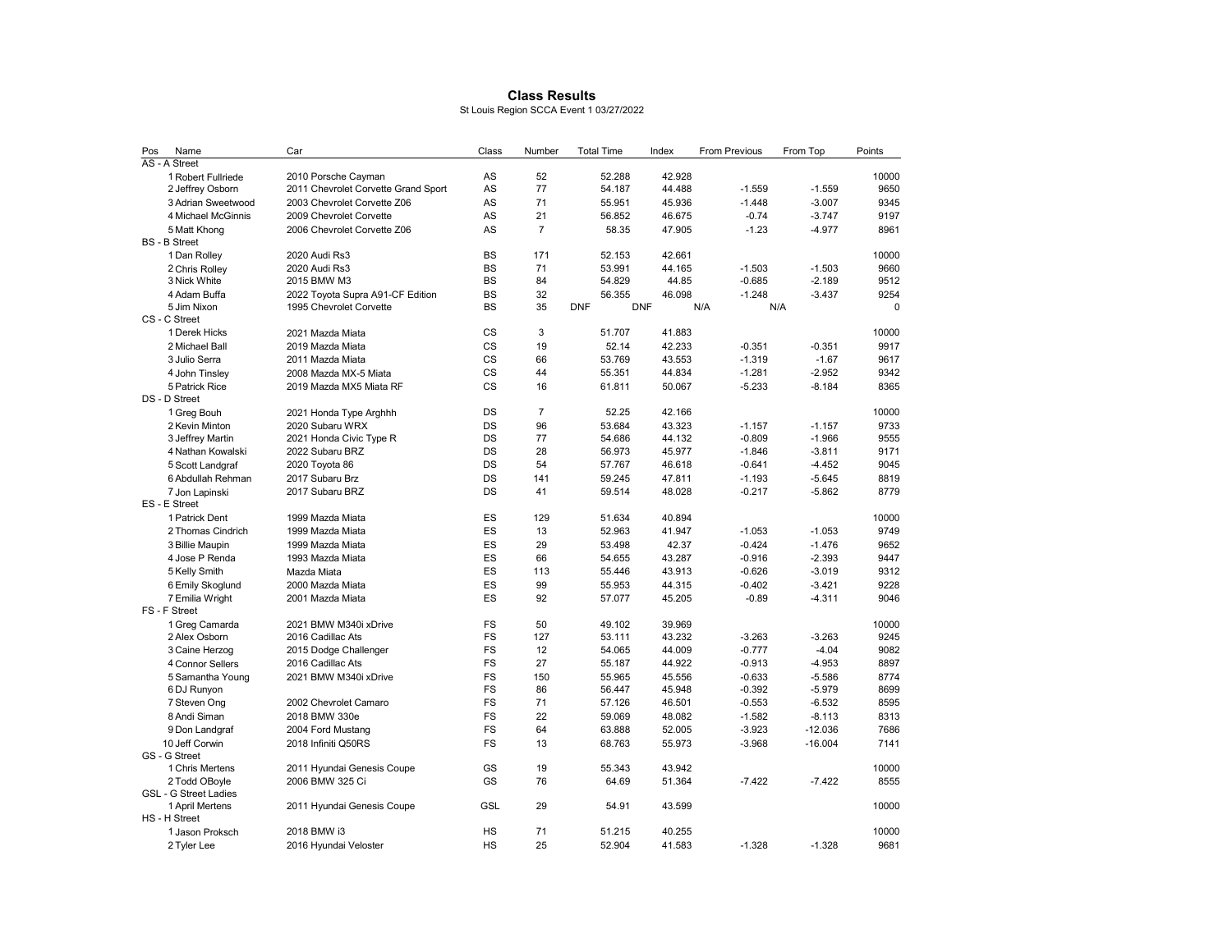## Class Results

St Louis Region SCCA Event 1 03/27/2022

| Pos           | Name                        | Car                                 | Class           | Number         |            | <b>Total Time</b> | Index  |     | <b>From Previous</b> | From Top  | Points        |
|---------------|-----------------------------|-------------------------------------|-----------------|----------------|------------|-------------------|--------|-----|----------------------|-----------|---------------|
| AS - A Street |                             |                                     |                 |                |            |                   |        |     |                      |           |               |
|               | 1 Robert Fullriede          | 2010 Porsche Cayman                 | AS              | 52             |            | 52.288            | 42.928 |     |                      |           | 10000         |
|               | 2 Jeffrey Osborn            | 2011 Chevrolet Corvette Grand Sport | AS              | 77             |            | 54.187            | 44.488 |     | $-1.559$             | $-1.559$  | 9650          |
|               | 3 Adrian Sweetwood          | 2003 Chevrolet Corvette Z06         | AS              | 71             |            | 55.951            | 45.936 |     | $-1.448$             | $-3.007$  | 9345          |
|               | 4 Michael McGinnis          | 2009 Chevrolet Corvette             | AS              | 21             |            | 56.852            | 46.675 |     | $-0.74$              | $-3.747$  | 9197          |
|               | 5 Matt Khong                | 2006 Chevrolet Corvette Z06         | AS              | $\overline{7}$ |            | 58.35             | 47.905 |     | $-1.23$              | $-4.977$  | 8961          |
|               | <b>BS</b> - <b>B</b> Street |                                     |                 |                |            |                   |        |     |                      |           |               |
|               | 1 Dan Rolley                | 2020 Audi Rs3                       | <b>BS</b>       | 171            |            | 52.153            | 42.661 |     |                      |           | 10000         |
|               | 2 Chris Rollev              | 2020 Audi Rs3                       | <b>BS</b>       | 71             |            | 53.991            | 44.165 |     | $-1.503$             | $-1.503$  | 9660          |
|               | 3 Nick White                | 2015 BMW M3                         | <b>BS</b>       | 84             |            | 54.829            | 44.85  |     | $-0.685$             | $-2.189$  | 9512          |
|               | 4 Adam Buffa                | 2022 Toyota Supra A91-CF Edition    | <b>BS</b>       | 32             |            | 56.355            | 46.098 |     | $-1.248$             | $-3.437$  | 9254          |
|               | 5 Jim Nixon                 | 1995 Chevrolet Corvette             | <b>BS</b>       | 35             | <b>DNF</b> | <b>DNF</b>        |        | N/A | N/A                  |           | $\Omega$      |
| CS - C Street |                             |                                     |                 |                |            |                   |        |     |                      |           |               |
|               | 1 Derek Hicks               | 2021 Mazda Miata                    | CS              | 3              |            | 51.707            | 41.883 |     |                      |           | 10000         |
|               | 2 Michael Ball              | 2019 Mazda Miata                    | CS              | 19             |            | 52.14             | 42.233 |     | $-0.351$             | $-0.351$  | 9917          |
|               | 3 Julio Serra               | 2011 Mazda Miata                    | CS              | 66             |            | 53.769            | 43.553 |     | $-1.319$             | $-1.67$   | 9617          |
|               | 4 John Tinsley              | 2008 Mazda MX-5 Miata               | CS              | 44             |            | 55.351            | 44.834 |     | $-1.281$             | $-2.952$  | 9342          |
|               | 5 Patrick Rice              | 2019 Mazda MX5 Miata RF             | CS              | 16             |            | 61.811            | 50.067 |     | $-5.233$             | $-8.184$  | 8365          |
|               | DS - D Street               |                                     |                 |                |            |                   |        |     |                      |           |               |
|               | 1 Greg Bouh                 | 2021 Honda Type Arghhh              | DS              | $\overline{7}$ |            | 52.25             | 42.166 |     |                      |           | 10000         |
|               | 2 Kevin Minton              | 2020 Subaru WRX                     | DS              | 96             |            | 53.684            | 43.323 |     | $-1.157$             | $-1.157$  | 9733          |
|               | 3 Jeffrey Martin            | 2021 Honda Civic Type R             | DS              | 77             |            | 54.686            | 44.132 |     | $-0.809$             | $-1.966$  | 9555          |
|               | 4 Nathan Kowalski           | 2022 Subaru BRZ                     | DS              | 28             |            | 56.973            | 45.977 |     | $-1.846$             | $-3.811$  | 9171          |
|               | 5 Scott Landgraf            | 2020 Toyota 86                      | DS              | 54             |            | 57.767            | 46.618 |     | $-0.641$             | $-4.452$  | 9045          |
|               | 6 Abdullah Rehman           | 2017 Subaru Brz                     | DS              | 141            |            | 59.245            | 47.811 |     | $-1.193$             | $-5.645$  | 8819          |
|               | 7 Jon Lapinski              | 2017 Subaru BRZ                     | DS              | 41             |            | 59.514            | 48.028 |     | $-0.217$             | $-5.862$  | 8779          |
|               | ES - E Street               |                                     |                 |                |            |                   |        |     |                      |           |               |
|               | 1 Patrick Dent              | 1999 Mazda Miata                    | ES              | 129            |            | 51.634            | 40.894 |     |                      |           | 10000         |
|               | 2 Thomas Cindrich           | 1999 Mazda Miata                    | ES              | 13             |            | 52.963            | 41.947 |     | $-1.053$             | $-1.053$  | 9749          |
|               | 3 Billie Maupin             | 1999 Mazda Miata                    | ES              | 29             |            | 53.498            | 42.37  |     | $-0.424$             | $-1.476$  | 9652          |
|               | 4 Jose P Renda              | 1993 Mazda Miata                    | ES              | 66             |            | 54.655            | 43.287 |     | $-0.916$             | $-2.393$  | 9447          |
|               | 5 Kelly Smith               | Mazda Miata                         | ES              | 113            |            | 55.446            | 43.913 |     | $-0.626$             | $-3.019$  | 9312          |
|               | 6 Emily Skoglund            | 2000 Mazda Miata                    | ES              | 99             |            | 55.953            | 44.315 |     | $-0.402$             | $-3.421$  | 9228          |
|               | 7 Emilia Wright             | 2001 Mazda Miata                    | ES              | 92             |            | 57.077            | 45.205 |     | $-0.89$              | $-4.311$  | 9046          |
|               | FS - F Street               |                                     |                 |                |            |                   |        |     |                      |           |               |
|               | 1 Greg Camarda              | 2021 BMW M340i xDrive               | FS              | 50             |            | 49.102            | 39.969 |     |                      |           | 10000         |
|               | 2 Alex Osborn               | 2016 Cadillac Ats                   | FS              | 127            |            | 53.111            | 43.232 |     | $-3.263$             | $-3.263$  | 9245          |
|               | 3 Caine Herzog              | 2015 Dodge Challenger               | FS              | 12             |            | 54.065            | 44.009 |     | $-0.777$             | $-4.04$   | 9082          |
|               | 4 Connor Sellers            | 2016 Cadillac Ats                   | FS              | 27             |            | 55.187            | 44.922 |     | $-0.913$             | $-4.953$  | 8897          |
|               | 5 Samantha Young            | 2021 BMW M340i xDrive               | FS              | 150            |            | 55.965            | 45.556 |     | $-0.633$             | $-5.586$  | 8774          |
|               | 6 DJ Runyon                 |                                     | FS              | 86             |            | 56.447            | 45.948 |     | $-0.392$             | $-5.979$  | 8699          |
|               | 7 Steven Ong                | 2002 Chevrolet Camaro               | FS              | 71             |            | 57.126            | 46.501 |     | $-0.553$             | $-6.532$  | 8595          |
|               | 8 Andi Siman                | 2018 BMW 330e                       | FS              | 22             |            | 59.069            | 48.082 |     | $-1.582$             | $-8.113$  | 8313          |
|               | 9 Don Landgraf              | 2004 Ford Mustang                   | FS              | 64             |            | 63.888            | 52.005 |     | $-3.923$             | $-12.036$ | 7686          |
|               | 10 Jeff Corwin              | 2018 Infiniti Q50RS                 | <b>FS</b>       | 13             |            | 68.763            | 55.973 |     | $-3.968$             | $-16.004$ | 7141          |
|               | GS - G Street               |                                     |                 |                |            |                   |        |     |                      |           |               |
|               | 1 Chris Mertens             | 2011 Hyundai Genesis Coupe          | GS              | 19             |            | 55.343            | 43.942 |     |                      |           | 10000         |
|               | 2 Todd OBoyle               | 2006 BMW 325 Ci                     | GS              | 76             |            | 64.69             | 51.364 |     | $-7.422$             | $-7.422$  | 8555          |
|               | GSL - G Street Ladies       |                                     |                 |                |            |                   |        |     |                      |           |               |
|               | 1 April Mertens             | 2011 Hyundai Genesis Coupe          | <b>GSL</b>      | 29             |            | 54.91             | 43.599 |     |                      |           | 10000         |
|               | HS - H Street               |                                     |                 |                |            |                   |        |     |                      |           |               |
|               | 1 Jason Proksch             | 2018 BMW i3                         | HS<br><b>HS</b> | 71<br>25       |            | 51.215            | 40.255 |     |                      |           | 10000<br>9681 |
|               | 2 Tyler Lee                 | 2016 Hyundai Veloster               |                 |                |            | 52.904            | 41.583 |     | $-1.328$             | $-1.328$  |               |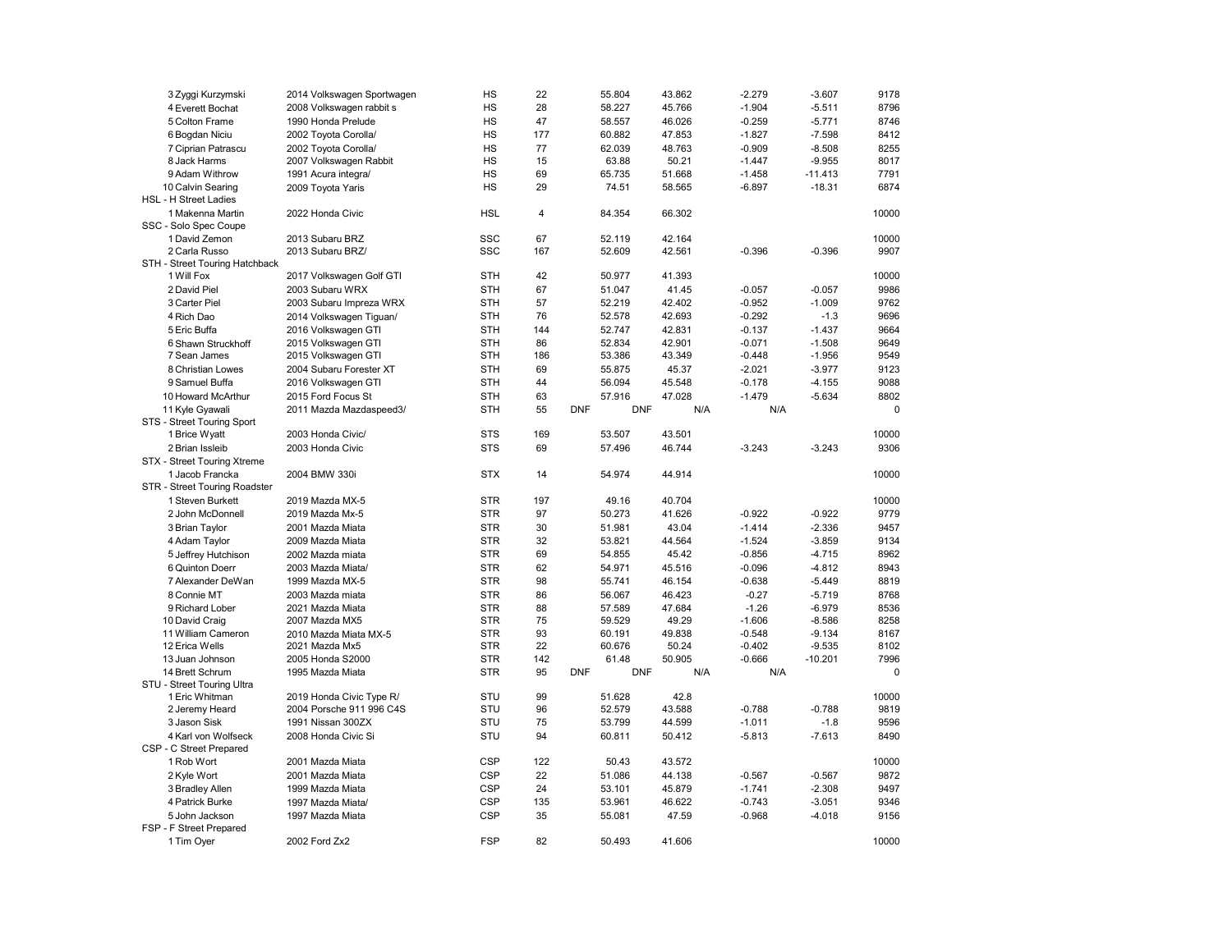| 3 Zyggi Kurzymski                     | 2014 Volkswagen Sportwagen | HS         | 22             |            | 55.804     | 43.862 | $-2.279$ | $-3.607$  | 9178        |
|---------------------------------------|----------------------------|------------|----------------|------------|------------|--------|----------|-----------|-------------|
| 4 Everett Bochat                      | 2008 Volkswagen rabbit s   | HS         | 28             |            | 58.227     | 45.766 | $-1.904$ | $-5.511$  | 8796        |
| 5 Colton Frame                        | 1990 Honda Prelude         | HS         | 47             |            | 58.557     | 46.026 | $-0.259$ | $-5.771$  | 8746        |
| 6 Bogdan Niciu                        | 2002 Toyota Corolla/       | HS         | 177            |            | 60.882     | 47.853 | $-1.827$ | $-7.598$  | 8412        |
| 7 Ciprian Patrascu                    | 2002 Toyota Corolla/       | HS         | 77             |            | 62.039     | 48.763 | $-0.909$ | $-8.508$  | 8255        |
| 8 Jack Harms                          | 2007 Volkswagen Rabbit     | HS         | 15             |            | 63.88      | 50.21  | $-1.447$ | $-9.955$  | 8017        |
| 9 Adam Withrow                        | 1991 Acura integra/        | HS         | 69             |            | 65.735     | 51.668 | $-1.458$ | $-11.413$ | 7791        |
| 10 Calvin Searing                     | 2009 Toyota Yaris          | HS         | 29             |            | 74.51      | 58.565 | $-6.897$ | $-18.31$  | 6874        |
| HSL - H Street Ladies                 |                            |            |                |            |            |        |          |           |             |
| 1 Makenna Martin                      | 2022 Honda Civic           | <b>HSL</b> | $\overline{4}$ |            | 84.354     | 66.302 |          |           | 10000       |
| SSC - Solo Spec Coupe                 |                            |            |                |            |            |        |          |           |             |
| 1 David Zemon                         | 2013 Subaru BRZ            | SSC        | 67             |            | 52.119     | 42.164 |          |           | 10000       |
| 2 Carla Russo                         | 2013 Subaru BRZ/           | <b>SSC</b> | 167            |            | 52.609     | 42.561 | $-0.396$ | $-0.396$  | 9907        |
| STH - Street Touring Hatchback        |                            |            |                |            |            |        |          |           |             |
| 1 Will Fox                            | 2017 Volkswagen Golf GTI   | <b>STH</b> | 42             |            | 50.977     | 41.393 |          |           | 10000       |
| 2 David Piel                          | 2003 Subaru WRX            | <b>STH</b> | 67             |            | 51.047     | 41.45  | $-0.057$ | $-0.057$  | 9986        |
| 3 Carter Piel                         | 2003 Subaru Impreza WRX    | <b>STH</b> | 57             |            | 52.219     | 42.402 | $-0.952$ | $-1.009$  | 9762        |
| 4 Rich Dao                            |                            | <b>STH</b> | 76             |            |            | 42.693 |          |           | 9696        |
|                                       | 2014 Volkswagen Tiguan/    |            |                |            | 52.578     |        | $-0.292$ | $-1.3$    |             |
| 5 Eric Buffa                          | 2016 Volkswagen GTI        | <b>STH</b> | 144            |            | 52.747     | 42.831 | $-0.137$ | $-1.437$  | 9664        |
| 6 Shawn Struckhoff                    | 2015 Volkswagen GTI        | <b>STH</b> | 86             |            | 52.834     | 42.901 | $-0.071$ | $-1.508$  | 9649        |
| 7 Sean James                          | 2015 Volkswagen GTI        | <b>STH</b> | 186            |            | 53.386     | 43.349 | $-0.448$ | $-1.956$  | 9549        |
| 8 Christian Lowes                     | 2004 Subaru Forester XT    | <b>STH</b> | 69             |            | 55.875     | 45.37  | $-2.021$ | $-3.977$  | 9123        |
| 9 Samuel Buffa                        | 2016 Volkswagen GTI        | <b>STH</b> | 44             |            | 56.094     | 45.548 | $-0.178$ | $-4.155$  | 9088        |
| 10 Howard McArthur                    | 2015 Ford Focus St         | <b>STH</b> | 63             |            | 57.916     | 47.028 | $-1.479$ | $-5.634$  | 8802        |
| 11 Kyle Gyawali                       | 2011 Mazda Mazdaspeed3/    | <b>STH</b> | 55             | <b>DNF</b> | <b>DNF</b> | N/A    | N/A      |           | $\mathbf 0$ |
| STS - Street Touring Sport            |                            |            |                |            |            |        |          |           |             |
| 1 Brice Wyatt                         | 2003 Honda Civic/          | <b>STS</b> | 169            |            | 53.507     | 43.501 |          |           | 10000       |
| 2 Brian Issleib                       | 2003 Honda Civic           | <b>STS</b> | 69             |            | 57.496     | 46.744 | $-3.243$ | $-3.243$  | 9306        |
| STX - Street Touring Xtreme           |                            |            |                |            |            |        |          |           |             |
| 1 Jacob Francka                       | 2004 BMW 330i              | <b>STX</b> | 14             |            | 54.974     | 44.914 |          |           | 10000       |
| STR - Street Touring Roadster         |                            |            |                |            |            |        |          |           |             |
| 1 Steven Burkett                      | 2019 Mazda MX-5            | <b>STR</b> | 197            |            | 49.16      | 40.704 |          |           | 10000       |
| 2 John McDonnell                      | 2019 Mazda Mx-5            | <b>STR</b> | 97             |            | 50.273     | 41.626 | $-0.922$ | $-0.922$  | 9779        |
|                                       |                            |            |                |            | 51.981     |        | $-1.414$ | $-2.336$  |             |
|                                       |                            |            |                |            |            |        |          |           |             |
| 3 Brian Taylor                        | 2001 Mazda Miata           | <b>STR</b> | 30             |            |            | 43.04  |          |           | 9457        |
| 4 Adam Taylor                         | 2009 Mazda Miata           | <b>STR</b> | 32             |            | 53.821     | 44.564 | $-1.524$ | $-3.859$  | 9134        |
| 5 Jeffrey Hutchison                   | 2002 Mazda miata           | <b>STR</b> | 69             |            | 54.855     | 45.42  | $-0.856$ | $-4.715$  | 8962        |
| 6 Quinton Doerr                       | 2003 Mazda Miata/          | <b>STR</b> | 62             |            | 54.971     | 45.516 | $-0.096$ | $-4.812$  | 8943        |
| 7 Alexander DeWan                     | 1999 Mazda MX-5            | <b>STR</b> | 98             |            | 55.741     | 46.154 | $-0.638$ | $-5.449$  | 8819        |
| 8 Connie MT                           | 2003 Mazda miata           | <b>STR</b> | 86             |            | 56.067     | 46.423 | $-0.27$  | $-5.719$  | 8768        |
| 9 Richard Lober                       | 2021 Mazda Miata           | <b>STR</b> | 88             |            | 57.589     | 47.684 | $-1.26$  | $-6.979$  | 8536        |
| 10 David Craig                        | 2007 Mazda MX5             | <b>STR</b> | 75             |            | 59.529     | 49.29  | $-1.606$ | $-8.586$  | 8258        |
| 11 William Cameron                    | 2010 Mazda Miata MX-5      | <b>STR</b> | 93             |            | 60.191     | 49.838 | $-0.548$ | $-9.134$  | 8167        |
| 12 Erica Wells                        | 2021 Mazda Mx5             | <b>STR</b> | 22             |            | 60.676     | 50.24  | $-0.402$ | $-9.535$  | 8102        |
| 13 Juan Johnson                       | 2005 Honda S2000           | <b>STR</b> | 142            |            | 61.48      | 50.905 | $-0.666$ | $-10.201$ | 7996        |
| 14 Brett Schrum                       | 1995 Mazda Miata           | <b>STR</b> | 95             | <b>DNF</b> | <b>DNF</b> | N/A    | N/A      |           | $\Omega$    |
| STU - Street Touring Ultra            |                            |            |                |            |            |        |          |           |             |
| 1 Eric Whitman                        | 2019 Honda Civic Type R/   | STU        | 99             |            | 51.628     | 42.8   |          |           | 10000       |
| 2 Jeremy Heard                        | 2004 Porsche 911 996 C4S   | STU        | 96             |            | 52.579     | 43.588 | $-0.788$ | $-0.788$  | 9819        |
| 3 Jason Sisk                          | 1991 Nissan 300ZX          | STU        | 75             |            | 53.799     | 44.599 | $-1.011$ | $-1.8$    | 9596        |
| 4 Karl von Wolfseck                   | 2008 Honda Civic Si        | STU        | 94             |            | 60.811     | 50.412 | $-5.813$ | $-7.613$  | 8490        |
| CSP - C Street Prepared               |                            |            |                |            |            |        |          |           |             |
| 1 Rob Wort                            | 2001 Mazda Miata           | <b>CSP</b> |                |            |            |        |          |           |             |
|                                       |                            |            | 122            |            | 50.43      | 43.572 |          |           | 10000       |
| 2 Kyle Wort                           | 2001 Mazda Miata           | <b>CSP</b> | 22             |            | 51.086     | 44.138 | $-0.567$ | $-0.567$  | 9872        |
| 3 Bradley Allen                       | 1999 Mazda Miata           | <b>CSP</b> | 24             |            | 53.101     | 45.879 | $-1.741$ | $-2.308$  | 9497        |
| 4 Patrick Burke                       | 1997 Mazda Miata/          | <b>CSP</b> | 135            |            | 53.961     | 46.622 | $-0.743$ | $-3.051$  | 9346        |
| 5 John Jackson                        | 1997 Mazda Miata           | <b>CSP</b> | 35             |            | 55.081     | 47.59  | $-0.968$ | $-4.018$  | 9156        |
| FSP - F Street Prepared<br>1 Tim Oyer | 2002 Ford Zx2              | FSP        | 82             |            | 50.493     | 41.606 |          |           | 10000       |